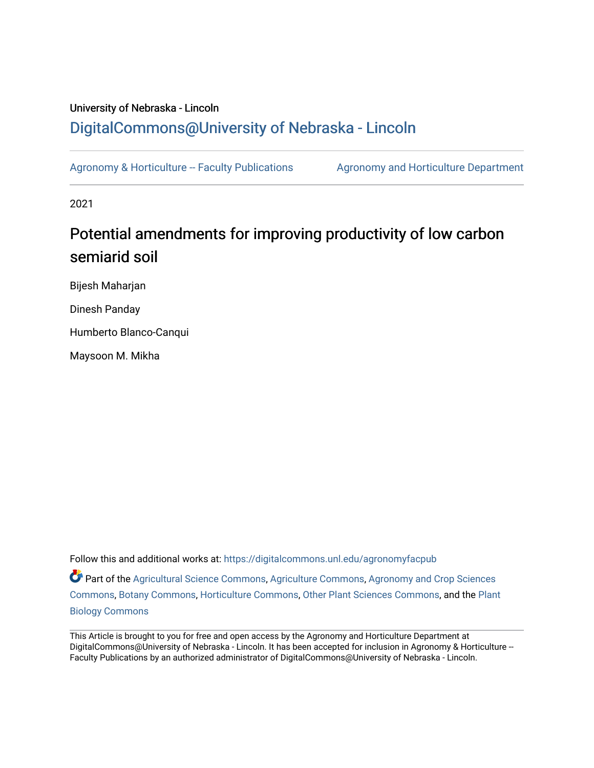# University of Nebraska - Lincoln [DigitalCommons@University of Nebraska - Lincoln](https://digitalcommons.unl.edu/)

[Agronomy & Horticulture -- Faculty Publications](https://digitalcommons.unl.edu/agronomyfacpub) Agronomy and Horticulture Department

2021

# Potential amendments for improving productivity of low carbon semiarid soil

Bijesh Maharjan

Dinesh Panday

Humberto Blanco-Canqui

Maysoon M. Mikha

Follow this and additional works at: [https://digitalcommons.unl.edu/agronomyfacpub](https://digitalcommons.unl.edu/agronomyfacpub?utm_source=digitalcommons.unl.edu%2Fagronomyfacpub%2F1447&utm_medium=PDF&utm_campaign=PDFCoverPages) Part of the [Agricultural Science Commons](http://network.bepress.com/hgg/discipline/1063?utm_source=digitalcommons.unl.edu%2Fagronomyfacpub%2F1447&utm_medium=PDF&utm_campaign=PDFCoverPages), [Agriculture Commons,](http://network.bepress.com/hgg/discipline/1076?utm_source=digitalcommons.unl.edu%2Fagronomyfacpub%2F1447&utm_medium=PDF&utm_campaign=PDFCoverPages) [Agronomy and Crop Sciences](http://network.bepress.com/hgg/discipline/103?utm_source=digitalcommons.unl.edu%2Fagronomyfacpub%2F1447&utm_medium=PDF&utm_campaign=PDFCoverPages) [Commons](http://network.bepress.com/hgg/discipline/103?utm_source=digitalcommons.unl.edu%2Fagronomyfacpub%2F1447&utm_medium=PDF&utm_campaign=PDFCoverPages), [Botany Commons](http://network.bepress.com/hgg/discipline/104?utm_source=digitalcommons.unl.edu%2Fagronomyfacpub%2F1447&utm_medium=PDF&utm_campaign=PDFCoverPages), [Horticulture Commons,](http://network.bepress.com/hgg/discipline/105?utm_source=digitalcommons.unl.edu%2Fagronomyfacpub%2F1447&utm_medium=PDF&utm_campaign=PDFCoverPages) [Other Plant Sciences Commons](http://network.bepress.com/hgg/discipline/109?utm_source=digitalcommons.unl.edu%2Fagronomyfacpub%2F1447&utm_medium=PDF&utm_campaign=PDFCoverPages), and the [Plant](http://network.bepress.com/hgg/discipline/106?utm_source=digitalcommons.unl.edu%2Fagronomyfacpub%2F1447&utm_medium=PDF&utm_campaign=PDFCoverPages) [Biology Commons](http://network.bepress.com/hgg/discipline/106?utm_source=digitalcommons.unl.edu%2Fagronomyfacpub%2F1447&utm_medium=PDF&utm_campaign=PDFCoverPages)

This Article is brought to you for free and open access by the Agronomy and Horticulture Department at DigitalCommons@University of Nebraska - Lincoln. It has been accepted for inclusion in Agronomy & Horticulture --Faculty Publications by an authorized administrator of DigitalCommons@University of Nebraska - Lincoln.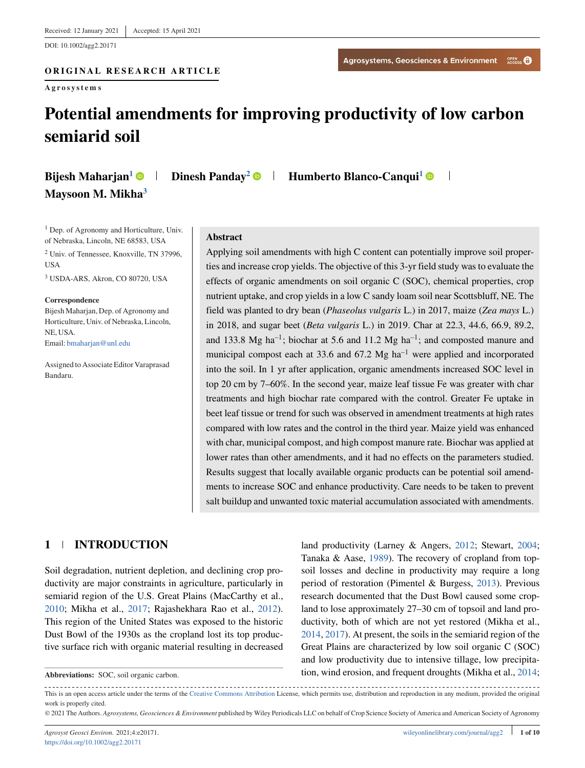DOI: 10.1002/agg2.20171

#### ORIGINAL RESEARCH ARTICLE **ORIGINAL RESEARCH ARTICLE**

**Agrosystems**

 $\overline{\phantom{a}}$ 

# **Potential amendments for improving productivity of low carbon semiarid soil**

| Bijesh Maharjan <sup>1</sup> O |  |
|--------------------------------|--|
| Maysoon M. Mikha <sup>3</sup>  |  |

**Dinesh Panday<sup>2</sup>**  $\bullet$  **| Humberto Blanco-Canqui<sup>1</sup>**  $\bullet$ 

<sup>1</sup> Dep. of Agronomy and Horticulture, Univ. of Nebraska, Lincoln, NE 68583, USA <sup>2</sup> Univ. of Tennessee, Knoxville, TN 37996,

**USA** 

<sup>3</sup> USDA-ARS, Akron, CO 80720, USA

#### **Correspondence**

Bijesh Maharjan, Dep. of Agronomy and Horticulture, Univ. of Nebraska, Lincoln, NE, USA. Email: [bmaharjan@unl.edu](mailto:bmaharjan@unl.edu)

Assigned to Associate Editor Varaprasad Bandaru.

#### **Abstract**

Applying soil amendments with high C content can potentially improve soil properties and increase crop yields. The objective of this 3-yr field study was to evaluate the effects of organic amendments on soil organic C (SOC), chemical properties, crop nutrient uptake, and crop yields in a low C sandy loam soil near Scottsbluff, NE. The field was planted to dry bean (*Phaseolus vulgaris* L.) in 2017, maize (*Zea mays* L.) in 2018, and sugar beet (*Beta vulgaris* L.) in 2019. Char at 22.3, 44.6, 66.9, 89.2, and 133.8 Mg ha<sup>-1</sup>; biochar at 5.6 and 11.2 Mg ha<sup>-1</sup>; and composted manure and municipal compost each at 33.6 and  $67.2 \text{ Mg} \text{ ha}^{-1}$  were applied and incorporated into the soil. In 1 yr after application, organic amendments increased SOC level in top 20 cm by 7–60%. In the second year, maize leaf tissue Fe was greater with char treatments and high biochar rate compared with the control. Greater Fe uptake in beet leaf tissue or trend for such was observed in amendment treatments at high rates compared with low rates and the control in the third year. Maize yield was enhanced with char, municipal compost, and high compost manure rate. Biochar was applied at lower rates than other amendments, and it had no effects on the parameters studied. Results suggest that locally available organic products can be potential soil amendments to increase SOC and enhance productivity. Care needs to be taken to prevent salt buildup and unwanted toxic material accumulation associated with amendments.

#### **1 INTRODUCTION**

Soil degradation, nutrient depletion, and declining crop productivity are major constraints in agriculture, particularly in semiarid region of the U.S. Great Plains (MacCarthy et al., [2010;](#page-9-0) Mikha et al., [2017;](#page-9-0) Rajashekhara Rao et al., [2012\)](#page-10-0). This region of the United States was exposed to the historic Dust Bowl of the 1930s as the cropland lost its top productive surface rich with organic material resulting in decreased

**Abbreviations:** SOC, soil organic carbon.

land productivity (Larney & Angers, [2012;](#page-9-0) Stewart, [2004;](#page-10-0) Tanaka & Aase, [1989\)](#page-10-0). The recovery of cropland from topsoil losses and decline in productivity may require a long period of restoration (Pimentel & Burgess, [2013\)](#page-10-0). Previous research documented that the Dust Bowl caused some cropland to lose approximately 27–30 cm of topsoil and land productivity, both of which are not yet restored (Mikha et al., [2014,](#page-9-0) [2017\)](#page-9-0). At present, the soils in the semiarid region of the Great Plains are characterized by low soil organic C (SOC) and low productivity due to intensive tillage, low precipitation, wind erosion, and frequent droughts (Mikha et al., [2014;](#page-9-0)

This is an open access article under the terms of the [Creative Commons Attribution](http://creativecommons.org/licenses/by/4.0/) License, which permits use, distribution and reproduction in any medium, provided the original work is properly cited.

© 2021 The Authors. *Agrosystems, Geosciences & Environment* published by Wiley Periodicals LLC on behalf of Crop Science Society of America and American Society of Agronomy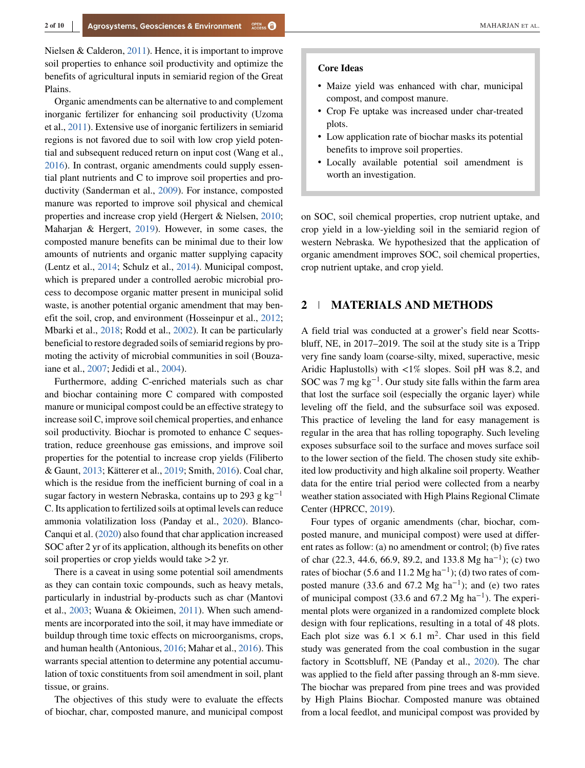Nielsen & Calderon, [2011\)](#page-9-0). Hence, it is important to improve soil properties to enhance soil productivity and optimize the benefits of agricultural inputs in semiarid region of the Great Plains.

Organic amendments can be alternative to and complement inorganic fertilizer for enhancing soil productivity (Uzoma et al., [2011\)](#page-10-0). Extensive use of inorganic fertilizers in semiarid regions is not favored due to soil with low crop yield potential and subsequent reduced return on input cost (Wang et al., [2016\)](#page-10-0). In contrast, organic amendments could supply essential plant nutrients and C to improve soil properties and productivity (Sanderman et al., [2009\)](#page-10-0). For instance, composted manure was reported to improve soil physical and chemical properties and increase crop yield (Hergert & Nielsen, [2010;](#page-9-0) Maharjan & Hergert, [2019\)](#page-9-0). However, in some cases, the composted manure benefits can be minimal due to their low amounts of nutrients and organic matter supplying capacity (Lentz et al., [2014;](#page-9-0) Schulz et al., [2014\)](#page-10-0). Municipal compost, which is prepared under a controlled aerobic microbial process to decompose organic matter present in municipal solid waste, is another potential organic amendment that may benefit the soil, crop, and environment (Hosseinpur et al., [2012;](#page-9-0) Mbarki et al., [2018;](#page-9-0) Rodd et al., [2002\)](#page-10-0). It can be particularly beneficial to restore degraded soils of semiarid regions by promoting the activity of microbial communities in soil (Bouzaiane et al., [2007;](#page-8-0) Jedidi et al., [2004\)](#page-9-0).

Furthermore, adding C-enriched materials such as char and biochar containing more C compared with composted manure or municipal compost could be an effective strategy to increase soil C, improve soil chemical properties, and enhance soil productivity. Biochar is promoted to enhance C sequestration, reduce greenhouse gas emissions, and improve soil properties for the potential to increase crop yields (Filiberto & Gaunt, [2013;](#page-9-0) Kätterer et al., [2019;](#page-9-0) Smith, [2016\)](#page-10-0). Coal char, which is the residue from the inefficient burning of coal in a sugar factory in western Nebraska, contains up to 293 g kg<sup>-1</sup> C. Its application to fertilized soils at optimal levels can reduce ammonia volatilization loss (Panday et al., [2020\)](#page-9-0). Blanco-Canqui et al. [\(2020\)](#page-8-0) also found that char application increased SOC after 2 yr of its application, although its benefits on other soil properties or crop yields would take *>*2 yr.

There is a caveat in using some potential soil amendments as they can contain toxic compounds, such as heavy metals, particularly in industrial by-products such as char (Mantovi et al., [2003;](#page-9-0) Wuana & Okieimen, [2011\)](#page-10-0). When such amendments are incorporated into the soil, it may have immediate or buildup through time toxic effects on microorganisms, crops, and human health (Antonious, [2016;](#page-8-0) Mahar et al., [2016\)](#page-9-0). This warrants special attention to determine any potential accumulation of toxic constituents from soil amendment in soil, plant tissue, or grains.

The objectives of this study were to evaluate the effects of biochar, char, composted manure, and municipal compost

#### **Core Ideas**

- ∙ Maize yield was enhanced with char, municipal compost, and compost manure.
- ∙ Crop Fe uptake was increased under char-treated plots.
- ∙ Low application rate of biochar masks its potential benefits to improve soil properties.
- ∙ Locally available potential soil amendment is worth an investigation.

on SOC, soil chemical properties, crop nutrient uptake, and crop yield in a low-yielding soil in the semiarid region of western Nebraska. We hypothesized that the application of organic amendment improves SOC, soil chemical properties, crop nutrient uptake, and crop yield.

# **2 MATERIALS AND METHODS**

A field trial was conducted at a grower's field near Scottsbluff, NE, in 2017–2019. The soil at the study site is a Tripp very fine sandy loam (coarse-silty, mixed, superactive, mesic Aridic Haplustolls) with *<*1% slopes. Soil pH was 8.2, and SOC was 7 mg  $kg^{-1}$ . Our study site falls within the farm area that lost the surface soil (especially the organic layer) while leveling off the field, and the subsurface soil was exposed. This practice of leveling the land for easy management is regular in the area that has rolling topography. Such leveling exposes subsurface soil to the surface and moves surface soil to the lower section of the field. The chosen study site exhibited low productivity and high alkaline soil property. Weather data for the entire trial period were collected from a nearby weather station associated with High Plains Regional Climate Center (HPRCC, [2019\)](#page-9-0).

Four types of organic amendments (char, biochar, composted manure, and municipal compost) were used at different rates as follow: (a) no amendment or control; (b) five rates of char (22.3, 44.6, 66.9, 89.2, and 133.8 Mg ha<sup>-1</sup>); (c) two rates of biochar (5.6 and 11.2 Mg ha<sup>-1</sup>); (d) two rates of composted manure (33.6 and 67.2 Mg ha<sup>-1</sup>); and (e) two rates of municipal compost (33.6 and 67.2 Mg ha<sup>-1</sup>). The experimental plots were organized in a randomized complete block design with four replications, resulting in a total of 48 plots. Each plot size was  $6.1 \times 6.1$  m<sup>2</sup>. Char used in this field study was generated from the coal combustion in the sugar factory in Scottsbluff, NE (Panday et al., [2020\)](#page-9-0). The char was applied to the field after passing through an 8-mm sieve. The biochar was prepared from pine trees and was provided by High Plains Biochar. Composted manure was obtained from a local feedlot, and municipal compost was provided by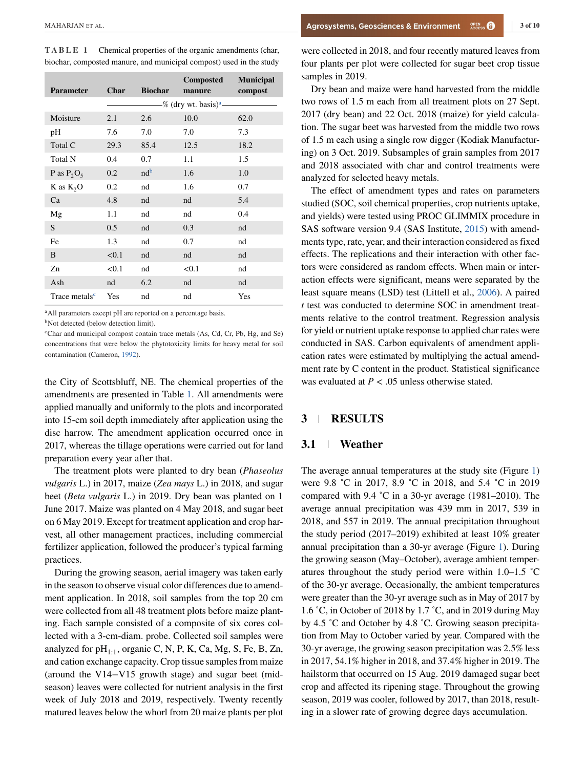**TABLE 1** Chemical properties of the organic amendments (char, biochar, composted manure, and municipal compost) used in the study

| <b>Parameter</b>          | Char  | <b>Biochar</b>  | Composted<br>manure               | <b>Municipal</b><br>compost |
|---------------------------|-------|-----------------|-----------------------------------|-----------------------------|
|                           |       |                 | -% (dry wt. basis) <sup>a</sup> — |                             |
| Moisture                  | 2.1   | 2.6             | 10.0                              | 62.0                        |
| pH                        | 7.6   | 7.0             | 7.0                               | 7.3                         |
| Total C                   | 29.3  | 85.4            | 12.5                              | 18.2                        |
| Total N                   | 0.4   | 0.7             | 1.1                               | 1.5                         |
| P as $P_2O_5$             | 0.2   | nd <sup>b</sup> | 1.6                               | 1.0                         |
| $K$ as $K_2O$             | 0.2   | nd              | 1.6                               | 0.7                         |
| Ca                        | 4.8   | nd              | nd                                | 5.4                         |
| Mg                        | 1.1   | nd              | nd                                | 0.4                         |
| S                         | 0.5   | nd              | 0.3                               | nd                          |
| Fe                        | 1.3   | nd              | 0.7                               | nd                          |
| B                         | < 0.1 | nd              | nd                                | nd                          |
| Zn                        | < 0.1 | nd              | < 0.1                             | nd                          |
| Ash                       | nd    | 6.2             | nd                                | nd                          |
| Trace metals <sup>c</sup> | Yes   | nd              | nd                                | Yes                         |

<sup>a</sup>All parameters except pH are reported on a percentage basis.

<sup>b</sup>Not detected (below detection limit).

<sup>c</sup>Char and municipal compost contain trace metals (As, Cd, Cr, Pb, Hg, and Se) concentrations that were below the phytotoxicity limits for heavy metal for soil contamination (Cameron, [1992\)](#page-8-0).

the City of Scottsbluff, NE. The chemical properties of the amendments are presented in Table 1. All amendments were applied manually and uniformly to the plots and incorporated into 15-cm soil depth immediately after application using the disc harrow. The amendment application occurred once in 2017, whereas the tillage operations were carried out for land preparation every year after that.

The treatment plots were planted to dry bean (*Phaseolus vulgaris* L.) in 2017, maize (*Zea mays* L.) in 2018, and sugar beet (*Beta vulgaris* L.) in 2019. Dry bean was planted on 1 June 2017. Maize was planted on 4 May 2018, and sugar beet on 6 May 2019. Except for treatment application and crop harvest, all other management practices, including commercial fertilizer application, followed the producer's typical farming practices.

During the growing season, aerial imagery was taken early in the season to observe visual color differences due to amendment application. In 2018, soil samples from the top 20 cm were collected from all 48 treatment plots before maize planting. Each sample consisted of a composite of six cores collected with a 3-cm-diam. probe. Collected soil samples were analyzed for  $pH_{1:1}$ , organic C, N, P, K, Ca, Mg, S, Fe, B, Zn, and cation exchange capacity. Crop tissue samples from maize (around the V14−V15 growth stage) and sugar beet (midseason) leaves were collected for nutrient analysis in the first week of July 2018 and 2019, respectively. Twenty recently matured leaves below the whorl from 20 maize plants per plot

were collected in 2018, and four recently matured leaves from four plants per plot were collected for sugar beet crop tissue samples in 2019.

Dry bean and maize were hand harvested from the middle two rows of 1.5 m each from all treatment plots on 27 Sept. 2017 (dry bean) and 22 Oct. 2018 (maize) for yield calculation. The sugar beet was harvested from the middle two rows of 1.5 m each using a single row digger (Kodiak Manufacturing) on 3 Oct. 2019. Subsamples of grain samples from 2017 and 2018 associated with char and control treatments were analyzed for selected heavy metals.

The effect of amendment types and rates on parameters studied (SOC, soil chemical properties, crop nutrients uptake, and yields) were tested using PROC GLIMMIX procedure in SAS software version 9.4 (SAS Institute, [2015\)](#page-10-0) with amendments type, rate, year, and their interaction considered as fixed effects. The replications and their interaction with other factors were considered as random effects. When main or interaction effects were significant, means were separated by the least square means (LSD) test (Littell et al., [2006\)](#page-9-0). A paired *t* test was conducted to determine SOC in amendment treatments relative to the control treatment. Regression analysis for yield or nutrient uptake response to applied char rates were conducted in SAS. Carbon equivalents of amendment application rates were estimated by multiplying the actual amendment rate by C content in the product. Statistical significance was evaluated at *P <* .05 unless otherwise stated.

### **3 RESULTS**

#### **3.1 Weather**

The average annual temperatures at the study site (Figure [1\)](#page-4-0) were 9.8 ˚C in 2017, 8.9 ˚C in 2018, and 5.4 ˚C in 2019 compared with 9.4 ˚C in a 30-yr average (1981–2010). The average annual precipitation was 439 mm in 2017, 539 in 2018, and 557 in 2019. The annual precipitation throughout the study period (2017–2019) exhibited at least 10% greater annual precipitation than a 30-yr average (Figure [1\)](#page-4-0). During the growing season (May–October), average ambient temperatures throughout the study period were within 1.0–1.5 ˚C of the 30-yr average. Occasionally, the ambient temperatures were greater than the 30-yr average such as in May of 2017 by 1.6 ˚C, in October of 2018 by 1.7 ˚C, and in 2019 during May by 4.5 ˚C and October by 4.8 ˚C. Growing season precipitation from May to October varied by year. Compared with the 30-yr average, the growing season precipitation was 2.5% less in 2017, 54.1% higher in 2018, and 37.4% higher in 2019. The hailstorm that occurred on 15 Aug. 2019 damaged sugar beet crop and affected its ripening stage. Throughout the growing season, 2019 was cooler, followed by 2017, than 2018, resulting in a slower rate of growing degree days accumulation.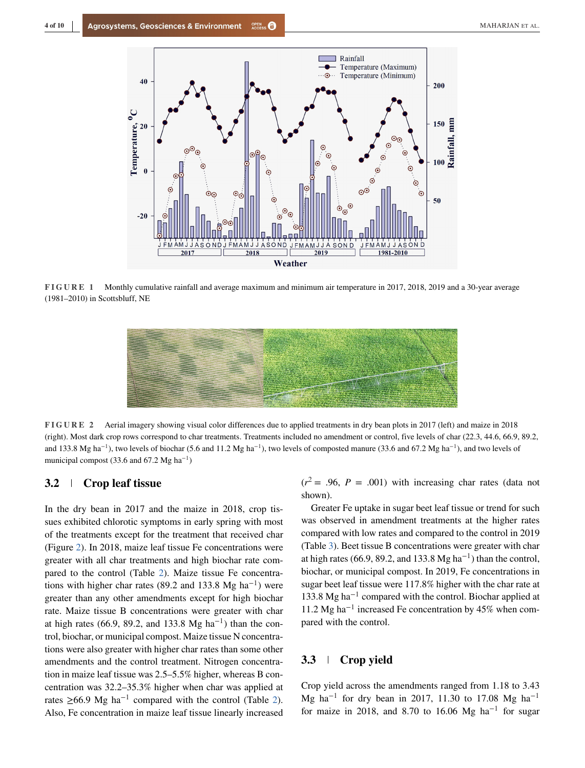<span id="page-4-0"></span>

**FIGURE 1** Monthly cumulative rainfall and average maximum and minimum air temperature in 2017, 2018, 2019 and a 30-year average (1981–2010) in Scottsbluff, NE



**FIGURE 2** Aerial imagery showing visual color differences due to applied treatments in dry bean plots in 2017 (left) and maize in 2018 (right). Most dark crop rows correspond to char treatments. Treatments included no amendment or control, five levels of char (22.3, 44.6, 66.9, 89.2, and 133.8 Mg ha<sup>-1</sup>), two levels of biochar (5.6 and 11.2 Mg ha<sup>-1</sup>), two levels of composted manure (33.6 and 67.2 Mg ha<sup>-1</sup>), and two levels of municipal compost (33.6 and 67.2 Mg ha<sup>−</sup>1)

# **3.2 Crop leaf tissue**

In the dry bean in 2017 and the maize in 2018, crop tissues exhibited chlorotic symptoms in early spring with most of the treatments except for the treatment that received char (Figure 2). In 2018, maize leaf tissue Fe concentrations were greater with all char treatments and high biochar rate compared to the control (Table [2\)](#page-5-0). Maize tissue Fe concentrations with higher char rates (89.2 and 133.8 Mg ha<sup>-1</sup>) were greater than any other amendments except for high biochar rate. Maize tissue B concentrations were greater with char at high rates (66.9, 89.2, and 133.8 Mg ha<sup>-1</sup>) than the control, biochar, or municipal compost. Maize tissue N concentrations were also greater with higher char rates than some other amendments and the control treatment. Nitrogen concentration in maize leaf tissue was 2.5–5.5% higher, whereas B concentration was 32.2–35.3% higher when char was applied at rates  $≥66.9$  Mg ha<sup>-1</sup> compared with the control (Table [2\)](#page-5-0). Also, Fe concentration in maize leaf tissue linearly increased

 $(r^2 = .96, P = .001)$  with increasing char rates (data not shown).

Greater Fe uptake in sugar beet leaf tissue or trend for such was observed in amendment treatments at the higher rates compared with low rates and compared to the control in 2019 (Table [3\)](#page-5-0). Beet tissue B concentrations were greater with char at high rates (66.9, 89.2, and 133.8 Mg ha<sup>-1</sup>) than the control, biochar, or municipal compost. In 2019, Fe concentrations in sugar beet leaf tissue were 117.8% higher with the char rate at 133.8 Mg ha−<sup>1</sup> compared with the control. Biochar applied at 11.2 Mg ha−<sup>1</sup> increased Fe concentration by 45% when compared with the control.

## **3.3 Crop yield**

Crop yield across the amendments ranged from 1.18 to 3.43 Mg ha<sup>-1</sup> for dry bean in 2017, 11.30 to 17.08 Mg ha<sup>-1</sup> for maize in 2018, and 8.70 to 16.06 Mg ha<sup>-1</sup> for sugar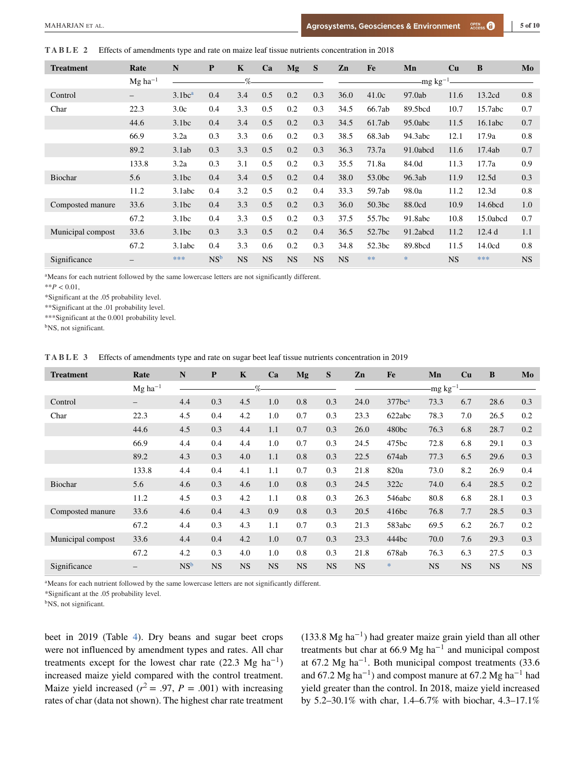#### <span id="page-5-0"></span>**TABLE 2** Effects of amendments type and rate on maize leaf tissue nutrients concentration in 2018

| <b>Treatment</b>  | Rate                     | $\mathbf N$        | P               | $\mathbf K$ | Ca        | Mg        | S         | Zn        | Fe     | Mn                   | Cu        | B        | Mo        |
|-------------------|--------------------------|--------------------|-----------------|-------------|-----------|-----------|-----------|-----------|--------|----------------------|-----------|----------|-----------|
|                   | $Mg$ ha <sup>-1</sup>    |                    |                 | $\%$        |           |           |           |           |        | -mg kg <sup>-1</sup> |           |          |           |
| Control           | $\qquad \qquad -$        | 3.1bc <sup>a</sup> | 0.4             | 3.4         | 0.5       | 0.2       | 0.3       | 36.0      | 41.0c  | 97.0ab               | 11.6      | 13.2cd   | 0.8       |
| Char              | 22.3                     | 3.0c               | 0.4             | 3.3         | 0.5       | 0.2       | 0.3       | 34.5      | 66.7ab | 89.5bcd              | 10.7      | 15.7abc  | 0.7       |
|                   | 44.6                     | 3.1bc              | 0.4             | 3.4         | 0.5       | 0.2       | 0.3       | 34.5      | 61.7ab | 95.0abc              | 11.5      | 16.1abc  | 0.7       |
|                   | 66.9                     | 3.2a               | 0.3             | 3.3         | 0.6       | 0.2       | 0.3       | 38.5      | 68.3ab | 94.3abc              | 12.1      | 17.9a    | 0.8       |
|                   | 89.2                     | 3.1ab              | 0.3             | 3.3         | 0.5       | 0.2       | 0.3       | 36.3      | 73.7a  | 91.0abcd             | 11.6      | 17.4ab   | 0.7       |
|                   | 133.8                    | 3.2a               | 0.3             | 3.1         | 0.5       | 0.2       | 0.3       | 35.5      | 71.8a  | 84.0d                | 11.3      | 17.7a    | 0.9       |
| <b>Biochar</b>    | 5.6                      | 3.1bc              | 0.4             | 3.4         | 0.5       | 0.2       | 0.4       | 38.0      | 53.0bc | 96.3ab               | 11.9      | 12.5d    | 0.3       |
|                   | 11.2                     | 3.1abc             | 0.4             | 3.2         | 0.5       | 0.2       | 0.4       | 33.3      | 59.7ab | 98.0a                | 11.2      | 12.3d    | 0.8       |
| Composted manure  | 33.6                     | 3.1bc              | 0.4             | 3.3         | 0.5       | 0.2       | 0.3       | 36.0      | 50.3bc | 88.0cd               | 10.9      | 14.6bcd  | 1.0       |
|                   | 67.2                     | 3.1bc              | 0.4             | 3.3         | 0.5       | 0.2       | 0.3       | 37.5      | 55.7bc | 91.8abc              | 10.8      | 15.0abcd | 0.7       |
| Municipal compost | 33.6                     | 3.1bc              | 0.3             | 3.3         | 0.5       | 0.2       | 0.4       | 36.5      | 52.7bc | 91.2abcd             | 11.2      | 12.4d    | 1.1       |
|                   | 67.2                     | 3.1abc             | 0.4             | 3.3         | 0.6       | 0.2       | 0.3       | 34.8      | 52.3bc | 89.8bcd              | 11.5      | 14.0cd   | 0.8       |
| Significance      | $\overline{\phantom{0}}$ | ***                | NS <sup>b</sup> | <b>NS</b>   | <b>NS</b> | <b>NS</b> | <b>NS</b> | <b>NS</b> | **     | $*$                  | <b>NS</b> | ***      | <b>NS</b> |

<sup>a</sup>Means for each nutrient followed by the same lowercase letters are not significantly different.

 $*$ *\*P* < 0.01,

\*Significant at the .05 probability level.

\*\*Significant at the .01 probability level.

\*\*\*Significant at the 0.001 probability level.

<sup>b</sup>NS, not significant.

**TABLE 3** Effects of amendments type and rate on sugar beet leaf tissue nutrients concentration in 2019

| <b>Treatment</b>  | Rate                  | N               | $\mathbf{P}$ | $\mathbf K$ | Ca        | Mg        | S         | Zn        | Fe                 | Mn            | Cu        | B         | Mo        |
|-------------------|-----------------------|-----------------|--------------|-------------|-----------|-----------|-----------|-----------|--------------------|---------------|-----------|-----------|-----------|
|                   | $Mg$ ha <sup>-1</sup> |                 |              | %           |           |           |           |           |                    | -mg $kg^{-1}$ |           |           |           |
| Control           | $\qquad \qquad -$     | 4.4             | 0.3          | 4.5         | 1.0       | 0.8       | 0.3       | 24.0      | 377bc <sup>a</sup> | 73.3          | 6.7       | 28.6      | 0.3       |
| Char              | 22.3                  | 4.5             | 0.4          | 4.2         | 1.0       | 0.7       | 0.3       | 23.3      | 622abc             | 78.3          | 7.0       | 26.5      | 0.2       |
|                   | 44.6                  | 4.5             | 0.3          | 4.4         | 1.1       | 0.7       | 0.3       | 26.0      | 480bc              | 76.3          | 6.8       | 28.7      | 0.2       |
|                   | 66.9                  | 4.4             | 0.4          | 4.4         | 1.0       | 0.7       | 0.3       | 24.5      | 475bc              | 72.8          | 6.8       | 29.1      | 0.3       |
|                   | 89.2                  | 4.3             | 0.3          | 4.0         | 1.1       | 0.8       | 0.3       | 22.5      | 674ab              | 77.3          | 6.5       | 29.6      | 0.3       |
|                   | 133.8                 | 4.4             | 0.4          | 4.1         | 1.1       | 0.7       | 0.3       | 21.8      | 820a               | 73.0          | 8.2       | 26.9      | 0.4       |
| Biochar           | 5.6                   | 4.6             | 0.3          | 4.6         | 1.0       | 0.8       | 0.3       | 24.5      | 322c               | 74.0          | 6.4       | 28.5      | 0.2       |
|                   | 11.2                  | 4.5             | 0.3          | 4.2         | 1.1       | 0.8       | 0.3       | 26.3      | 546abc             | 80.8          | 6.8       | 28.1      | 0.3       |
| Composted manure  | 33.6                  | 4.6             | 0.4          | 4.3         | 0.9       | 0.8       | 0.3       | 20.5      | 416bc              | 76.8          | 7.7       | 28.5      | 0.3       |
|                   | 67.2                  | 4.4             | 0.3          | 4.3         | 1.1       | 0.7       | 0.3       | 21.3      | 583abc             | 69.5          | 6.2       | 26.7      | 0.2       |
| Municipal compost | 33.6                  | 4.4             | 0.4          | 4.2         | 1.0       | 0.7       | 0.3       | 23.3      | 444bc              | 70.0          | 7.6       | 29.3      | 0.3       |
|                   | 67.2                  | 4.2             | 0.3          | 4.0         | 1.0       | 0.8       | 0.3       | 21.8      | 678ab              | 76.3          | 6.3       | 27.5      | 0.3       |
| Significance      | —                     | NS <sup>b</sup> | <b>NS</b>    | <b>NS</b>   | <b>NS</b> | <b>NS</b> | <b>NS</b> | <b>NS</b> | $\ast$             | <b>NS</b>     | <b>NS</b> | <b>NS</b> | <b>NS</b> |

<sup>a</sup>Means for each nutrient followed by the same lowercase letters are not significantly different.

\*Significant at the .05 probability level.

<sup>b</sup>NS, not significant.

beet in 2019 (Table [4\)](#page-6-0). Dry beans and sugar beet crops were not influenced by amendment types and rates. All char treatments except for the lowest char rate (22.3 Mg ha<sup>-1</sup>) increased maize yield compared with the control treatment. Maize yield increased ( $r^2 = .97$ ,  $P = .001$ ) with increasing rates of char (data not shown). The highest char rate treatment (133.8 Mg ha<sup>-1</sup>) had greater maize grain yield than all other treatments but char at 66.9 Mg ha<sup> $-1$ </sup> and municipal compost at 67.2 Mg ha<sup>−</sup>1. Both municipal compost treatments (33.6 and 67.2 Mg ha<sup>-1</sup>) and compost manure at 67.2 Mg ha<sup>-1</sup> had yield greater than the control. In 2018, maize yield increased by 5.2–30.1% with char, 1.4–6.7% with biochar, 4.3–17.1%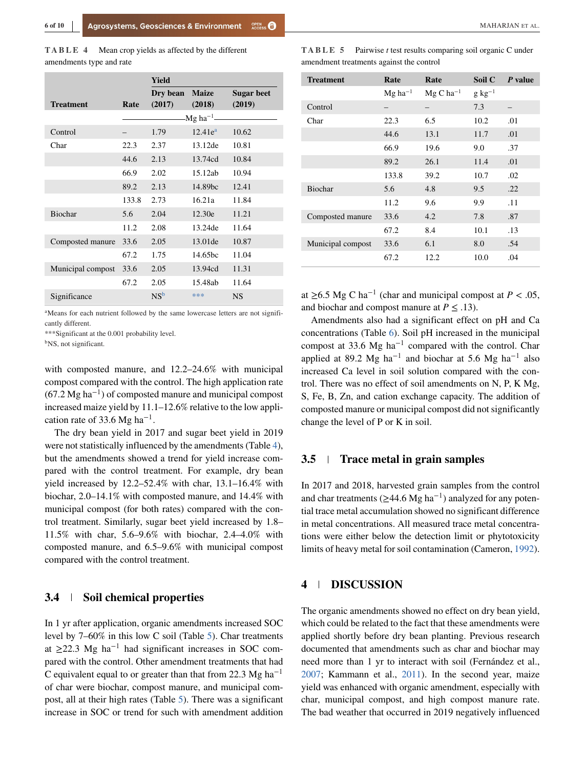<span id="page-6-0"></span>

|                   |       | Yield           |                         |                   |
|-------------------|-------|-----------------|-------------------------|-------------------|
|                   |       | Dry bean        | <b>Maize</b>            | <b>Sugar beet</b> |
| <b>Treatment</b>  | Rate  | (2017)          | (2018)                  | (2019)            |
|                   |       |                 | $Mg$ ha <sup>-1</sup> - |                   |
| Control           |       | 1.79            | $12.41e^{a}$            | 10.62             |
| Char              | 22.3  | 2.37            | 13.12de                 | 10.81             |
|                   | 44.6  | 2.13            | 13.74cd                 | 10.84             |
|                   | 66.9  | 2.02            | 15.12ab                 | 10.94             |
|                   | 89.2  | 2.13            | 14.89bc                 | 12.41             |
|                   | 133.8 | 2.73            | 16.21a                  | 11.84             |
| Biochar           | 5.6   | 2.04            | 12.30e                  | 11.21             |
|                   | 11.2  | 2.08            | 13.24de                 | 11.64             |
| Composted manure  | 33.6  | 2.05            | 13.01 de                | 10.87             |
|                   | 67.2  | 1.75            | 14.65bc                 | 11.04             |
| Municipal compost | 33.6  | 2.05            | 13.94cd                 | 11.31             |
|                   | 67.2  | 2.05            | 15.48ab                 | 11.64             |
| Significance      |       | NS <sup>b</sup> | ***                     | <b>NS</b>         |

<sup>a</sup>Means for each nutrient followed by the same lowercase letters are not significantly different.

\*\*\*Significant at the 0.001 probability level.

<sup>b</sup>NS, not significant.

with composted manure, and 12.2–24.6% with municipal compost compared with the control. The high application rate  $(67.2 \text{ Mg ha}^{-1})$  of composted manure and municipal compost increased maize yield by 11.1–12.6% relative to the low application rate of 33.6 Mg ha<sup>-1</sup>.

The dry bean yield in 2017 and sugar beet yield in 2019 were not statistically influenced by the amendments (Table 4), but the amendments showed a trend for yield increase compared with the control treatment. For example, dry bean yield increased by 12.2–52.4% with char, 13.1–16.4% with biochar, 2.0–14.1% with composted manure, and 14.4% with municipal compost (for both rates) compared with the control treatment. Similarly, sugar beet yield increased by 1.8– 11.5% with char, 5.6–9.6% with biochar, 2.4–4.0% with composted manure, and 6.5–9.6% with municipal compost compared with the control treatment.

## **3.4 Soil chemical properties**

In 1 yr after application, organic amendments increased SOC level by 7–60% in this low C soil (Table 5). Char treatments at  $\geq$ 22.3 Mg ha<sup>-1</sup> had significant increases in SOC compared with the control. Other amendment treatments that had C equivalent equal to or greater than that from 22.3 Mg ha<sup>-1</sup> of char were biochar, compost manure, and municipal compost, all at their high rates (Table 5). There was a significant increase in SOC or trend for such with amendment addition

| <b>Treatment</b>  | Rate                  | Rate           | Soil C      | P value |
|-------------------|-----------------------|----------------|-------------|---------|
|                   | $Mg$ ha <sup>-1</sup> | $Mg C ha^{-1}$ | $g kg^{-1}$ |         |
| Control           |                       |                | 7.3         |         |
| Char              | 22.3                  | 6.5            | 10.2        | .01     |
|                   | 44.6                  | 13.1           | 11.7        | .01     |
|                   | 66.9                  | 19.6           | 9.0         | .37     |
|                   | 89.2                  | 26.1           | 11.4        | .01     |
|                   | 133.8                 | 39.2           | 10.7        | .02     |
| Biochar           | 5.6                   | 4.8            | 9.5         | .22     |
|                   | 11.2                  | 9.6            | 9.9         | .11     |
| Composted manure  | 33.6                  | 4.2            | 7.8         | .87     |
|                   | 67.2                  | 8.4            | 10.1        | .13     |
| Municipal compost | 33.6                  | 6.1            | 8.0         | .54     |
|                   | 67.2                  | 12.2           | 10.0        | .04     |

at ≥6.5 Mg C ha<sup>-1</sup> (char and municipal compost at *P* < .05, and biochar and compost manure at  $P \leq .13$ ).

Amendments also had a significant effect on pH and Ca concentrations (Table [6\)](#page-7-0). Soil pH increased in the municipal compost at 33.6 Mg ha<sup>-1</sup> compared with the control. Char applied at 89.2 Mg ha<sup>-1</sup> and biochar at 5.6 Mg ha<sup>-1</sup> also increased Ca level in soil solution compared with the control. There was no effect of soil amendments on N, P, K Mg, S, Fe, B, Zn, and cation exchange capacity. The addition of composted manure or municipal compost did not significantly change the level of P or K in soil.

### **3.5 Trace metal in grain samples**

In 2017 and 2018, harvested grain samples from the control and char treatments ( $\geq$ 44.6 Mg ha<sup>-1</sup>) analyzed for any potential trace metal accumulation showed no significant difference in metal concentrations. All measured trace metal concentrations were either below the detection limit or phytotoxicity limits of heavy metal for soil contamination (Cameron, [1992\)](#page-8-0).

## **4 DISCUSSION**

The organic amendments showed no effect on dry bean yield, which could be related to the fact that these amendments were applied shortly before dry bean planting. Previous research documented that amendments such as char and biochar may need more than 1 yr to interact with soil (Fernández et al., [2007;](#page-9-0) Kammann et al., [2011\)](#page-9-0). In the second year, maize yield was enhanced with organic amendment, especially with char, municipal compost, and high compost manure rate. The bad weather that occurred in 2019 negatively influenced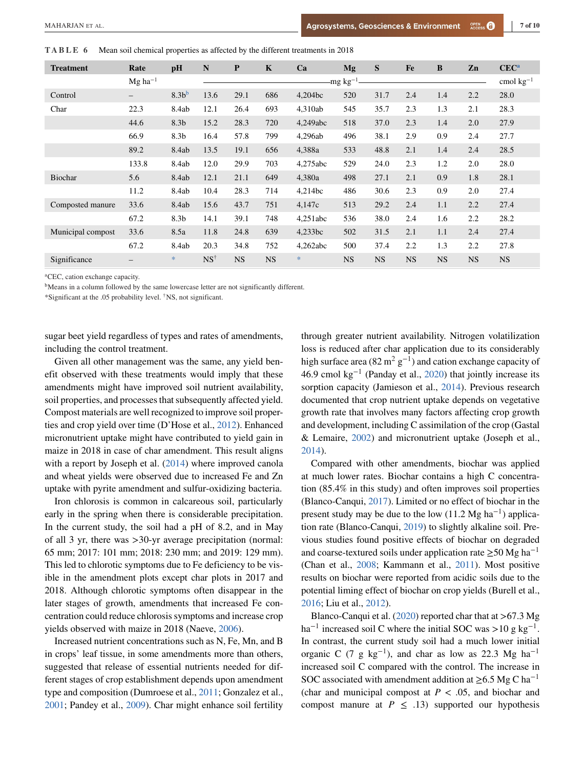<span id="page-7-0"></span>**TABLE 6** Mean soil chemical properties as affected by the different treatments in 2018

| <b>Treatment</b>  | Rate                     | pH               | N              | $\mathbf{P}$ | $\mathbf K$ | Ca       | Mg            | S         | Fe        | B         | Zn        | <b>CEC<sup>a</sup></b> |
|-------------------|--------------------------|------------------|----------------|--------------|-------------|----------|---------------|-----------|-----------|-----------|-----------|------------------------|
|                   | $Mg$ ha <sup>-1</sup>    |                  |                |              |             |          | -mg $kg^{-1}$ |           |           |           |           | cmol $kg^{-1}$         |
| Control           | $\qquad \qquad -$        | 8.3 <sup>b</sup> | 13.6           | 29.1         | 686         | 4,204bc  | 520           | 31.7      | 2.4       | 1.4       | 2.2       | 28.0                   |
| Char              | 22.3                     | 8.4ab            | 12.1           | 26.4         | 693         | 4,310ab  | 545           | 35.7      | 2.3       | 1.3       | 2.1       | 28.3                   |
|                   | 44.6                     | 8.3 <sub>b</sub> | 15.2           | 28.3         | 720         | 4,249abc | 518           | 37.0      | 2.3       | 1.4       | 2.0       | 27.9                   |
|                   | 66.9                     | 8.3 <sub>b</sub> | 16.4           | 57.8         | 799         | 4.296ab  | 496           | 38.1      | 2.9       | 0.9       | 2.4       | 27.7                   |
|                   | 89.2                     | 8.4ab            | 13.5           | 19.1         | 656         | 4,388a   | 533           | 48.8      | 2.1       | 1.4       | 2.4       | 28.5                   |
|                   | 133.8                    | 8.4ab            | 12.0           | 29.9         | 703         | 4,275abc | 529           | 24.0      | 2.3       | 1.2       | 2.0       | 28.0                   |
| <b>Biochar</b>    | 5.6                      | 8.4ab            | 12.1           | 21.1         | 649         | 4.380a   | 498           | 27.1      | 2.1       | 0.9       | 1.8       | 28.1                   |
|                   | 11.2                     | 8.4ab            | 10.4           | 28.3         | 714         | 4,214bc  | 486           | 30.6      | 2.3       | 0.9       | 2.0       | 27.4                   |
| Composted manure  | 33.6                     | 8.4ab            | 15.6           | 43.7         | 751         | 4,147c   | 513           | 29.2      | 2.4       | 1.1       | 2.2       | 27.4                   |
|                   | 67.2                     | 8.3 <sub>b</sub> | 14.1           | 39.1         | 748         | 4,251abc | 536           | 38.0      | 2.4       | 1.6       | 2.2       | 28.2                   |
| Municipal compost | 33.6                     | 8.5a             | 11.8           | 24.8         | 639         | 4,233bc  | 502           | 31.5      | 2.1       | 1.1       | 2.4       | 27.4                   |
|                   | 67.2                     | 8.4ab            | 20.3           | 34.8         | 752         | 4,262abc | 500           | 37.4      | 2.2       | 1.3       | 2.2       | 27.8                   |
| Significance      | $\overline{\phantom{0}}$ | $\ast$           | $NS^{\dagger}$ | <b>NS</b>    | <b>NS</b>   | $\ast$   | <b>NS</b>     | <b>NS</b> | <b>NS</b> | <b>NS</b> | <b>NS</b> | <b>NS</b>              |

aCEC, cation exchange capacity.

<sup>b</sup>Means in a column followed by the same lowercase letter are not significantly different.

\*Significant at the .05 probability level. †NS, not significant.

sugar beet yield regardless of types and rates of amendments, including the control treatment.

Given all other management was the same, any yield benefit observed with these treatments would imply that these amendments might have improved soil nutrient availability, soil properties, and processes that subsequently affected yield. Compost materials are well recognized to improve soil properties and crop yield over time (D'Hose et al., [2012\)](#page-8-0). Enhanced micronutrient uptake might have contributed to yield gain in maize in 2018 in case of char amendment. This result aligns with a report by Joseph et al. [\(2014\)](#page-9-0) where improved canola and wheat yields were observed due to increased Fe and Zn uptake with pyrite amendment and sulfur-oxidizing bacteria.

Iron chlorosis is common in calcareous soil, particularly early in the spring when there is considerable precipitation. In the current study, the soil had a pH of 8.2, and in May of all 3 yr, there was *>*30-yr average precipitation (normal: 65 mm; 2017: 101 mm; 2018: 230 mm; and 2019: 129 mm). This led to chlorotic symptoms due to Fe deficiency to be visible in the amendment plots except char plots in 2017 and 2018. Although chlorotic symptoms often disappear in the later stages of growth, amendments that increased Fe concentration could reduce chlorosis symptoms and increase crop yields observed with maize in 2018 (Naeve, [2006\)](#page-9-0).

Increased nutrient concentrations such as N, Fe, Mn, and B in crops' leaf tissue, in some amendments more than others, suggested that release of essential nutrients needed for different stages of crop establishment depends upon amendment type and composition (Dumroese et al., [2011;](#page-8-0) Gonzalez et al., [2001;](#page-9-0) Pandey et al., [2009\)](#page-9-0). Char might enhance soil fertility

through greater nutrient availability. Nitrogen volatilization loss is reduced after char application due to its considerably high surface area (82 m<sup>2</sup> g<sup>-1</sup>) and cation exchange capacity of 46.9 cmol kg<sup>-1</sup> (Panday et al., [2020\)](#page-9-0) that jointly increase its sorption capacity (Jamieson et al., [2014\)](#page-9-0). Previous research documented that crop nutrient uptake depends on vegetative growth rate that involves many factors affecting crop growth and development, including C assimilation of the crop (Gastal & Lemaire, [2002\)](#page-9-0) and micronutrient uptake (Joseph et al., [2014\)](#page-9-0).

Compared with other amendments, biochar was applied at much lower rates. Biochar contains a high C concentration (85.4% in this study) and often improves soil properties (Blanco-Canqui, [2017\)](#page-8-0). Limited or no effect of biochar in the present study may be due to the low (11.2 Mg ha<sup>-1</sup>) application rate (Blanco-Canqui, [2019\)](#page-8-0) to slightly alkaline soil. Previous studies found positive effects of biochar on degraded and coarse-textured soils under application rate  $> 50$  Mg ha<sup>-1</sup> (Chan et al., [2008;](#page-8-0) Kammann et al., [2011\)](#page-9-0). Most positive results on biochar were reported from acidic soils due to the potential liming effect of biochar on crop yields (Burell et al., [2016;](#page-8-0) Liu et al., [2012\)](#page-9-0).

Blanco-Canqui et al. [\(2020\)](#page-8-0) reported char that at *>*67.3 Mg ha<sup> $-1$ </sup> increased soil C where the initial SOC was > 10 g kg<sup>-1</sup>. In contrast, the current study soil had a much lower initial organic C (7 g kg<sup>-1</sup>), and char as low as 22.3 Mg ha<sup>-1</sup> increased soil C compared with the control. The increase in SOC associated with amendment addition at  $\geq$ 6.5 Mg C ha<sup>-1</sup> (char and municipal compost at  $P < .05$ , and biochar and compost manure at  $P \leq .13$ ) supported our hypothesis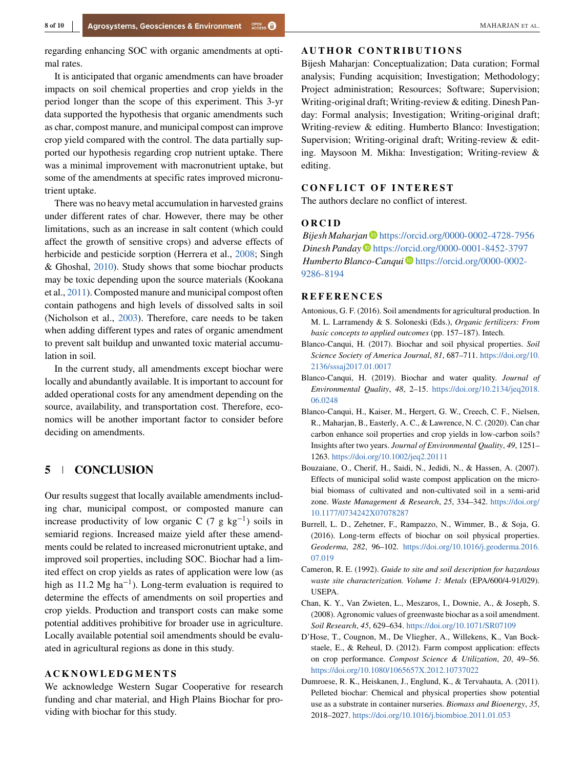<span id="page-8-0"></span>regarding enhancing SOC with organic amendments at optimal rates.

It is anticipated that organic amendments can have broader impacts on soil chemical properties and crop yields in the period longer than the scope of this experiment. This 3-yr data supported the hypothesis that organic amendments such as char, compost manure, and municipal compost can improve crop yield compared with the control. The data partially supported our hypothesis regarding crop nutrient uptake. There was a minimal improvement with macronutrient uptake, but some of the amendments at specific rates improved micronutrient uptake.

There was no heavy metal accumulation in harvested grains under different rates of char. However, there may be other limitations, such as an increase in salt content (which could affect the growth of sensitive crops) and adverse effects of herbicide and pesticide sorption (Herrera et al., [2008;](#page-9-0) Singh & Ghoshal, [2010\)](#page-10-0). Study shows that some biochar products may be toxic depending upon the source materials (Kookana et al., [2011\)](#page-9-0). Composted manure and municipal compost often contain pathogens and high levels of dissolved salts in soil (Nicholson et al., [2003\)](#page-9-0). Therefore, care needs to be taken when adding different types and rates of organic amendment to prevent salt buildup and unwanted toxic material accumulation in soil.

In the current study, all amendments except biochar were locally and abundantly available. It is important to account for added operational costs for any amendment depending on the source, availability, and transportation cost. Therefore, economics will be another important factor to consider before deciding on amendments.

# **5 CONCLUSION**

Our results suggest that locally available amendments including char, municipal compost, or composted manure can increase productivity of low organic C (7 g kg<sup>-1</sup>) soils in semiarid regions. Increased maize yield after these amendments could be related to increased micronutrient uptake, and improved soil properties, including SOC. Biochar had a limited effect on crop yields as rates of application were low (as high as 11.2 Mg ha<sup>-1</sup>). Long-term evaluation is required to determine the effects of amendments on soil properties and crop yields. Production and transport costs can make some potential additives prohibitive for broader use in agriculture. Locally available potential soil amendments should be evaluated in agricultural regions as done in this study.

We acknowledge Western Sugar Cooperative for research funding and char material, and High Plains Biochar for providing with biochar for this study.

## **AUTHOR CONTRIBUTIONS**

Bijesh Maharjan: Conceptualization; Data curation; Formal analysis; Funding acquisition; Investigation; Methodology; Project administration; Resources; Software; Supervision; Writing-original draft; Writing-review & editing. Dinesh Panday: Formal analysis; Investigation; Writing-original draft; Writing-review & editing. Humberto Blanco: Investigation; Supervision; Writing-original draft; Writing-review & editing. Maysoon M. Mikha: Investigation; Writing-review & editing.

The authors declare no conflict of interest.

#### ORCID

**Bijesh Maharjan** <https://orcid.org/0000-0002-4728-7956> *Dinesh Panday* <https://orcid.org/0000-0001-8452-3797> *Humberto Blanco-Canqui* [https://orcid.org/0000-0002-](https://orcid.org/0000-0002-9286-8194) [9286-8194](https://orcid.org/0000-0002-9286-8194)

- Antonious, G. F. (2016). Soil amendments for agricultural production. In M. L. Larramendy & S. Soloneski (Eds.), *Organic fertilizers: From basic concepts to applied outcomes* (pp. 157–187). Intech.
- Blanco-Canqui, H. (2017). Biochar and soil physical properties. *Soil Science Society of America Journal*, *81*, 687–711. [https://doi.org/10.](https://doi.org/10.2136/sssaj2017.01.0017) [2136/sssaj2017.01.0017](https://doi.org/10.2136/sssaj2017.01.0017)
- Blanco-Canqui, H. (2019). Biochar and water quality. *Journal of Environmental Quality*, *48*, 2–15. [https://doi.org/10.2134/jeq2018.](https://doi.org/10.2134/jeq2018.06.0248) [06.0248](https://doi.org/10.2134/jeq2018.06.0248)
- Blanco-Canqui, H., Kaiser, M., Hergert, G. W., Creech, C. F., Nielsen, R., Maharjan, B., Easterly, A. C., & Lawrence, N. C. (2020). Can char carbon enhance soil properties and crop yields in low-carbon soils? Insights after two years. *Journal of Environmental Quality*, *49*, 1251– 1263. <https://doi.org/10.1002/jeq2.20111>
- Bouzaiane, O., Cherif, H., Saidi, N., Jedidi, N., & Hassen, A. (2007). Effects of municipal solid waste compost application on the microbial biomass of cultivated and non-cultivated soil in a semi-arid zone. *Waste Management & Research*, *25*, 334–342. [https://doi.org/](https://doi.org/10.1177/0734242X07078287) [10.1177/0734242X07078287](https://doi.org/10.1177/0734242X07078287)
- Burrell, L. D., Zehetner, F., Rampazzo, N., Wimmer, B., & Soja, G. (2016). Long-term effects of biochar on soil physical properties. *Geoderma*, *282*, 96–102. [https://doi.org/10.1016/j.geoderma.2016.](https://doi.org/10.1016/j.geoderma.2016.07.019) [07.019](https://doi.org/10.1016/j.geoderma.2016.07.019)
- Cameron, R. E. (1992). *Guide to site and soil description for hazardous waste site characterization. Volume 1: Metals* (EPA/600/4-91/029). USEPA.
- Chan, K. Y., Van Zwieten, L., Meszaros, I., Downie, A., & Joseph, S. (2008). Agronomic values of greenwaste biochar as a soil amendment. *Soil Research*, *45*, 629–634. <https://doi.org/10.1071/SR07109>
- D'Hose, T., Cougnon, M., De Vliegher, A., Willekens, K., Van Bockstaele, E., & Reheul, D. (2012). Farm compost application: effects on crop performance. *Compost Science & Utilization*, *20*, 49–56. <https://doi.org/10.1080/1065657X.2012.10737022>
- Dumroese, R. K., Heiskanen, J., Englund, K., & Tervahauta, A. (2011). Pelleted biochar: Chemical and physical properties show potential use as a substrate in container nurseries. *Biomass and Bioenergy*, *35*, 2018–2027. <https://doi.org/10.1016/j.biombioe.2011.01.053>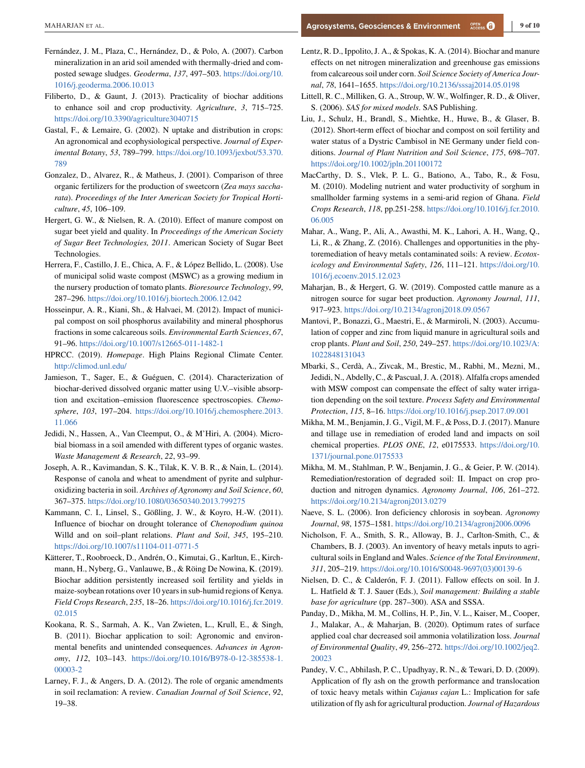- <span id="page-9-0"></span>Fernández, J. M., Plaza, C., Hernández, D., & Polo, A. (2007). Carbon mineralization in an arid soil amended with thermally-dried and composted sewage sludges. *Geoderma*, *137*, 497–503. [https://doi.org/10.](https://doi.org/10.1016/j.geoderma.2006.10.013) [1016/j.geoderma.2006.10.013](https://doi.org/10.1016/j.geoderma.2006.10.013)
- Filiberto, D., & Gaunt, J. (2013). Practicality of biochar additions to enhance soil and crop productivity. *Agriculture*, *3*, 715–725. <https://doi.org/10.3390/agriculture3040715>
- Gastal, F., & Lemaire, G. (2002). N uptake and distribution in crops: An agronomical and ecophysiological perspective. *Journal of Experimental Botany*, *53*, 789–799. [https://doi.org/10.1093/jexbot/53.370.](https://doi.org/10.1093/jexbot/53.370.789) [789](https://doi.org/10.1093/jexbot/53.370.789)
- Gonzalez, D., Alvarez, R., & Matheus, J. (2001). Comparison of three organic fertilizers for the production of sweetcorn (*Zea mays saccharata*). *Proceedings of the Inter American Society for Tropical Horticulture*, *45*, 106–109.
- Hergert, G. W., & Nielsen, R. A. (2010). Effect of manure compost on sugar beet yield and quality. In *Proceedings of the American Society of Sugar Beet Technologies, 2011*. American Society of Sugar Beet Technologies.
- Herrera, F., Castillo, J. E., Chica, A. F., & López Bellido, L. (2008). Use of municipal solid waste compost (MSWC) as a growing medium in the nursery production of tomato plants. *Bioresource Technology*, *99*, 287–296. <https://doi.org/10.1016/j.biortech.2006.12.042>
- Hosseinpur, A. R., Kiani, Sh., & Halvaei, M. (2012). Impact of municipal compost on soil phosphorus availability and mineral phosphorus fractions in some calcareous soils. *Environmental Earth Sciences*, *67*, 91–96. <https://doi.org/10.1007/s12665-011-1482-1>
- HPRCC. (2019). *Homepage*. High Plains Regional Climate Center. <http://climod.unl.edu/>
- Jamieson, T., Sager, E., & Guéguen, C. (2014). Characterization of biochar-derived dissolved organic matter using U.V.–visible absorption and excitation–emission fluorescence spectroscopies. *Chemosphere*, *103*, 197–204. [https://doi.org/10.1016/j.chemosphere.2013.](https://doi.org/10.1016/j.chemosphere.2013.11.066) [11.066](https://doi.org/10.1016/j.chemosphere.2013.11.066)
- Jedidi, N., Hassen, A., Van Cleemput, O., & M'Hiri, A. (2004). Microbial biomass in a soil amended with different types of organic wastes. *Waste Management & Research*, *22*, 93–99.
- Joseph, A. R., Kavimandan, S. K., Tilak, K. V. B. R., & Nain, L. (2014). Response of canola and wheat to amendment of pyrite and sulphuroxidizing bacteria in soil. *Archives of Agronomy and Soil Science*, *60*, 367–375. <https://doi.org/10.1080/03650340.2013.799275>
- Kammann, C. I., Linsel, S., Gößling, J. W., & Koyro, H.-W. (2011). Influence of biochar on drought tolerance of *Chenopodium quinoa* Willd and on soil–plant relations. *Plant and Soil*, *345*, 195–210. <https://doi.org/10.1007/s11104-011-0771-5>
- Kätterer, T., Roobroeck, D., Andrén, O., Kimutai, G., Karltun, E., Kirchmann, H., Nyberg, G., Vanlauwe, B., & Röing De Nowina, K. (2019). Biochar addition persistently increased soil fertility and yields in maize-soybean rotations over 10 years in sub-humid regions of Kenya. *Field Crops Research*, *235*, 18–26. [https://doi.org/10.1016/j.fcr.2019.](https://doi.org/10.1016/j.fcr.2019.02.015) [02.015](https://doi.org/10.1016/j.fcr.2019.02.015)
- Kookana, R. S., Sarmah, A. K., Van Zwieten, L., Krull, E., & Singh, B. (2011). Biochar application to soil: Agronomic and environmental benefits and unintended consequences. *Advances in Agronomy*, *112*, 103–143. [https://doi.org/10.1016/B978-0-12-385538-1.](https://doi.org/10.1016/B978-0-12-385538-1.00003-2) [00003-2](https://doi.org/10.1016/B978-0-12-385538-1.00003-2)
- Larney, F. J., & Angers, D. A. (2012). The role of organic amendments in soil reclamation: A review. *Canadian Journal of Soil Science*, *92*, 19–38.
- Lentz, R. D., Ippolito, J. A., & Spokas, K. A. (2014). Biochar and manure effects on net nitrogen mineralization and greenhouse gas emissions from calcareous soil under corn. *Soil Science Society of America Journal*, *78*, 1641–1655. <https://doi.org/10.2136/sssaj2014.05.0198>
- Littell, R. C., Milliken, G. A., Stroup, W. W., Wolfinger, R. D., & Oliver, S. (2006). *SAS for mixed models*. SAS Publishing.
- Liu, J., Schulz, H., Brandl, S., Miehtke, H., Huwe, B., & Glaser, B. (2012). Short-term effect of biochar and compost on soil fertility and water status of a Dystric Cambisol in NE Germany under field conditions. *Journal of Plant Nutrition and Soil Science*, *175*, 698–707. <https://doi.org/10.1002/jpln.201100172>
- MacCarthy, D. S., Vlek, P. L. G., Bationo, A., Tabo, R., & Fosu, M. (2010). Modeling nutrient and water productivity of sorghum in smallholder farming systems in a semi-arid region of Ghana. *Field Crops Research*, *118*, pp.251-258. [https://doi.org/10.1016/j.fcr.2010.](https://doi.org/10.1016/j.fcr.2010.06.005) [06.005](https://doi.org/10.1016/j.fcr.2010.06.005)
- Mahar, A., Wang, P., Ali, A., Awasthi, M. K., Lahori, A. H., Wang, Q., Li, R., & Zhang, Z. (2016). Challenges and opportunities in the phytoremediation of heavy metals contaminated soils: A review. *Ecotoxicology and Environmental Safety*, *126*, 111–121. [https://doi.org/10.](https://doi.org/10.1016/j.ecoenv.2015.12.023) [1016/j.ecoenv.2015.12.023](https://doi.org/10.1016/j.ecoenv.2015.12.023)
- Maharjan, B., & Hergert, G. W. (2019). Composted cattle manure as a nitrogen source for sugar beet production. *Agronomy Journal*, *111*, 917–923. <https://doi.org/10.2134/agronj2018.09.0567>
- Mantovi, P., Bonazzi, G., Maestri, E., & Marmiroli, N. (2003). Accumulation of copper and zinc from liquid manure in agricultural soils and crop plants. *Plant and Soil*, *250*, 249–257. [https://doi.org/10.1023/A:](https://doi.org/10.1023/A:1022848131043) [1022848131043](https://doi.org/10.1023/A:1022848131043)
- Mbarki, S., Cerdà, A., Zivcak, M., Brestic, M., Rabhi, M., Mezni, M., Jedidi, N., Abdelly, C., & Pascual, J. A. (2018). Alfalfa crops amended with MSW compost can compensate the effect of salty water irrigation depending on the soil texture. *Process Safety and Environmental Protection*, *115*, 8–16. <https://doi.org/10.1016/j.psep.2017.09.001>
- Mikha, M. M., Benjamin, J. G., Vigil, M. F., & Poss, D. J. (2017). Manure and tillage use in remediation of eroded land and impacts on soil chemical properties. *PLOS ONE*, *12*, e0175533. [https://doi.org/10.](https://doi.org/10.1371/journal.pone.0175533) [1371/journal.pone.0175533](https://doi.org/10.1371/journal.pone.0175533)
- Mikha, M. M., Stahlman, P. W., Benjamin, J. G., & Geier, P. W. (2014). Remediation/restoration of degraded soil: II. Impact on crop production and nitrogen dynamics. *Agronomy Journal*, *106*, 261–272. <https://doi.org/10.2134/agronj2013.0279>
- Naeve, S. L. (2006). Iron deficiency chlorosis in soybean. *Agronomy Journal*, *98*, 1575–1581. <https://doi.org/10.2134/agronj2006.0096>
- Nicholson, F. A., Smith, S. R., Alloway, B. J., Carlton-Smith, C., & Chambers, B. J. (2003). An inventory of heavy metals inputs to agricultural soils in England and Wales. *Science of the Total Environment*, *311*, 205–219. [https://doi.org/10.1016/S0048-9697\(03\)00139-6](https://doi.org/10.1016/S0048-9697(03)00139-6)
- Nielsen, D. C., & Calderón, F. J. (2011). Fallow effects on soil. In J. L. Hatfield & T. J. Sauer (Eds.), *Soil management: Building a stable base for agriculture* (pp. 287–300). ASA and SSSA.
- Panday, D., Mikha, M. M., Collins, H. P., Jin, V. L., Kaiser, M., Cooper, J., Malakar, A., & Maharjan, B. (2020). Optimum rates of surface applied coal char decreased soil ammonia volatilization loss. *Journal of Environmental Quality*, *49*, 256–272. [https://doi.org/10.1002/jeq2.](https://doi.org/10.1002/jeq2.20023) [20023](https://doi.org/10.1002/jeq2.20023)
- Pandey, V. C., Abhilash, P. C., Upadhyay, R. N., & Tewari, D. D. (2009). Application of fly ash on the growth performance and translocation of toxic heavy metals within *Cajanus cajan* L.: Implication for safe utilization of fly ash for agricultural production. *Journal of Hazardous*